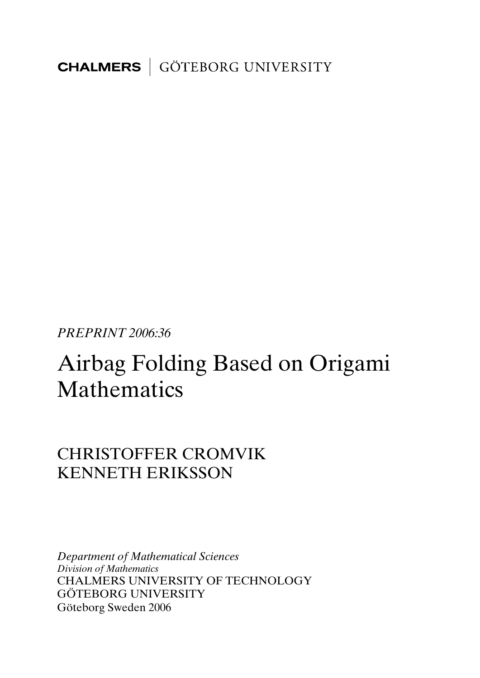**CHALMERS** GÖTEBORG UNIVERSITY

*PREPRINT 2006:36* 

# Airbag Folding Based on Origami Mathematics

### CHRISTOFFER CROMVIK KENNETH ERIKSSON

*Department of Mathematical Sciences Division of Mathematics*  CHALMERS UNIVERSITY OF TECHNOLOGY GÖTEBORG UNIVERSITY Göteborg Sweden 2006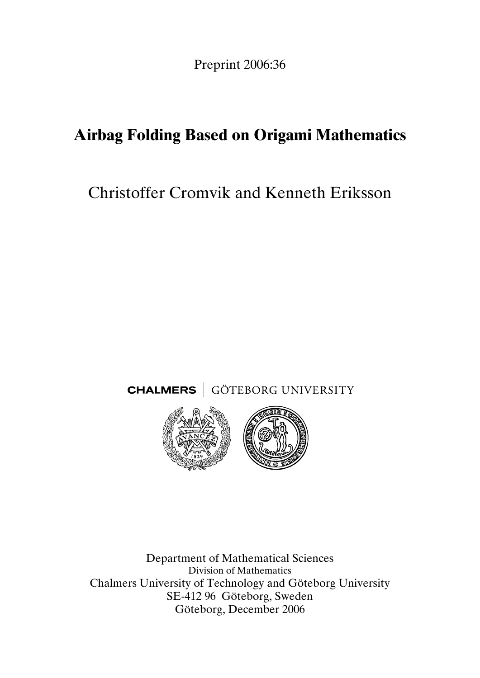Preprint 2006:36

## **Airbag Folding Based on Origami Mathematics**

### Christoffer Cromvik and Kenneth Eriksson





Department of Mathematical Sciences Division of Mathematics Chalmers University of Technology and Göteborg University SE-412 96 Göteborg, Sweden Göteborg, December 2006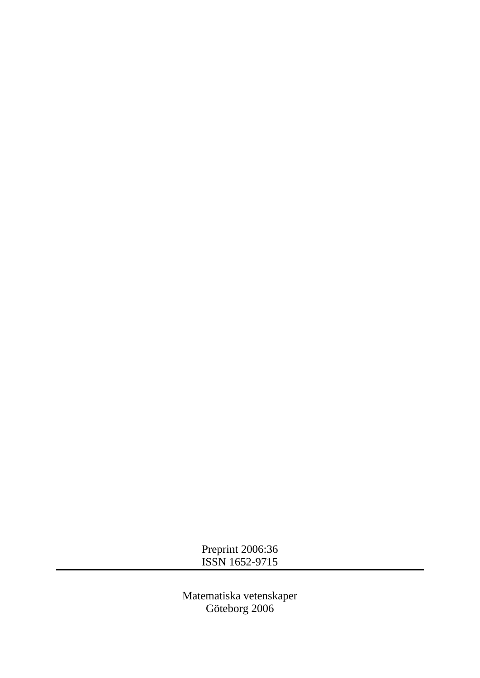Preprint 2006:36 ISSN 1652-9715

Matematiska vetenskaper Göteborg 2006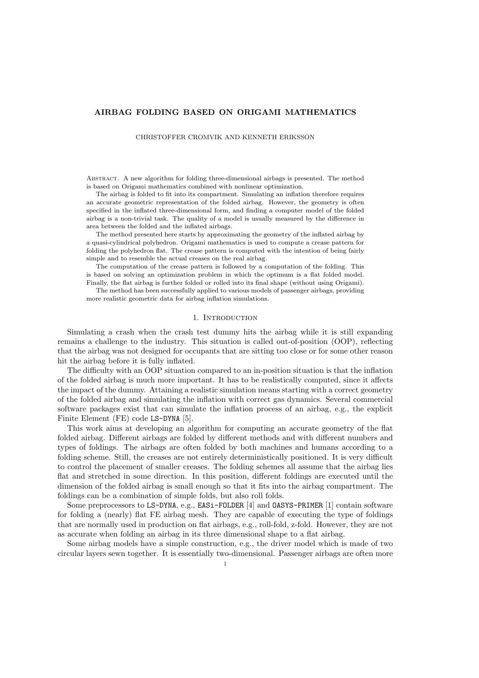#### AIRBAG FOLDING BASED ON ORIGAMI MATHEMATICS

CHRISTOFFER CROMVIK AND KENNETH ERIKSSON

Abstract. A new algorithm for folding three-dimensional airbags is presented. The method is based on Origami mathematics combined with nonlinear optimization.

The airbag is folded to fit into its compartment. Simulating an inflation therefore requires an accurate geometric representation of the folded airbag. However, the geometry is often specified in the inflated three-dimensional form, and finding a computer model of the folded airbag is a non-trivial task. The quality of a model is usually measured by the difference in area between the folded and the inflated airbags.

The method presented here starts by approximating the geometry of the inflated airbag by a quasi-cylindrical polyhedron. Origami mathematics is used to compute a crease pattern for folding the polyhedron flat. The crease pattern is computed with the intention of being fairly simple and to resemble the actual creases on the real airbag.

The computation of the crease pattern is followed by a computation of the folding. This is based on solving an optimization problem in which the optimum is a flat folded model. Finally, the flat airbag is further folded or rolled into its final shape (without using Origami).

The method has been successfully applied to various models of passenger airbags, providing more realistic geometric data for airbag inflation simulations.

#### 1. INTRODUCTION

Simulating a crash when the crash test dummy hits the airbag while it is still expanding remains a challenge to the industry. This situation is called out-of-position (OOP), reflecting that the airbag was not designed for occupants that are sitting too close or for some other reason hit the airbag before it is fully inflated.

The difficulty with an OOP situation compared to an in-position situation is that the inflation of the folded airbag is much more important. It has to be realistically computed, since it affects the impact of the dummy. Attaining a realistic simulation means starting with a correct geometry of the folded airbag and simulating the inflation with correct gas dynamics. Several commercial software packages exist that can simulate the inflation process of an airbag, e.g., the explicit Finite Element (FE) code LS-DYNA [5].

This work aims at developing an algorithm for computing an accurate geometry of the flat folded airbag. Different airbags are folded by different methods and with different numbers and types of foldings. The airbags are often folded by both machines and humans according to a folding scheme. Still, the creases are not entirely deterministically positioned. It is very difficult to control the placement of smaller creases. The folding schemes all assume that the airbag lies flat and stretched in some direction. In this position, different foldings are executed until the dimension of the folded airbag is small enough so that it fits into the airbag compartment. The foldings can be a combination of simple folds, but also roll folds.

Some preprocessors to LS-DYNA, e.g., EASi-FOLDER [4] and OASYS-PRIMER [1] contain software for folding a (nearly) flat FE airbag mesh. They are capable of executing the type of foldings that are normally used in production on flat airbags, e.g., roll-fold, z-fold. However, they are not as accurate when folding an airbag in its three dimensional shape to a flat airbag.

Some airbag models have a simple construction, e.g., the driver model which is made of two circular layers sewn together. It is essentially two-dimensional. Passenger airbags are often more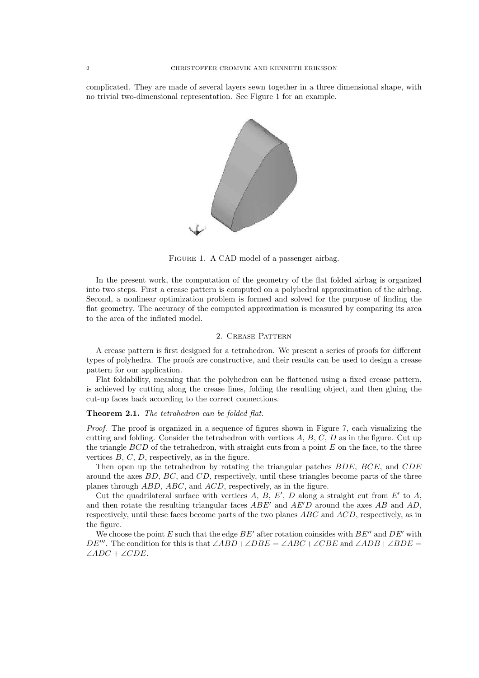complicated. They are made of several layers sewn together in a three dimensional shape, with no trivial two-dimensional representation. See Figure 1 for an example.



FIGURE 1. A CAD model of a passenger airbag.

In the present work, the computation of the geometry of the flat folded airbag is organized into two steps. First a crease pattern is computed on a polyhedral approximation of the airbag. Second, a nonlinear optimization problem is formed and solved for the purpose of finding the flat geometry. The accuracy of the computed approximation is measured by comparing its area to the area of the inflated model.

#### 2. Crease Pattern

A crease pattern is first designed for a tetrahedron. We present a series of proofs for different types of polyhedra. The proofs are constructive, and their results can be used to design a crease pattern for our application.

Flat foldability, meaning that the polyhedron can be flattened using a fixed crease pattern, is achieved by cutting along the crease lines, folding the resulting object, and then gluing the cut-up faces back according to the correct connections.

#### Theorem 2.1. The tetrahedron can be folded flat.

Proof. The proof is organized in a sequence of figures shown in Figure 7, each visualizing the cutting and folding. Consider the tetrahedron with vertices  $A, B, C, D$  as in the figure. Cut up the triangle  $BCD$  of the tetrahedron, with straight cuts from a point  $E$  on the face, to the three vertices  $B, C, D$ , respectively, as in the figure.

Then open up the tetrahedron by rotating the triangular patches BDE, BCE, and CDE around the axes  $BD$ ,  $BC$ , and  $CD$ , respectively, until these triangles become parts of the three planes through ABD, ABC, and ACD, respectively, as in the figure.

Cut the quadrilateral surface with vertices  $A, B, E', D$  along a straight cut from  $E'$  to  $A$ , and then rotate the resulting triangular faces  $ABE'$  and  $AE'D$  around the axes AB and AD, respectively, until these faces become parts of the two planes ABC and ACD, respectively, as in the figure.

We choose the point E such that the edge  $BE'$  after rotation coinsides with  $BE''$  and  $DE'$  with  $DE'''$ . The condition for this is that  $\angle ABD+\angle DBE = \angle ABC + \angle CBE$  and  $\angle ADB+\angle BDE =$  $\angle ADC + \angle CDE$ .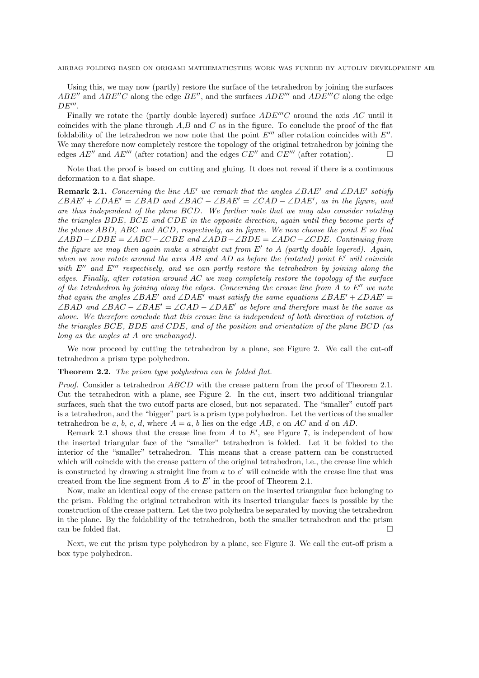Using this, we may now (partly) restore the surface of the tetrahedron by joining the surfaces  $ABE''$  and  $ABE''C$  along the edge  $BE''$ , and the surfaces  $ADE'''$  and  $ADE'''C$  along the edge  $DE'''$ .

Finally we rotate the (partly double layered) surface  $ADE^{\prime\prime\prime}C$  around the axis AC until it coincides with the plane through  $A, B$  and  $C$  as in the figure. To conclude the proof of the flat foldability of the tetrahedron we now note that the point  $E^{\prime\prime\prime}$  after rotation coincides with  $E^{\prime\prime}$ . We may therefore now completely restore the topology of the original tetrahedron by joining the edges  $AE''$  and  $AE'''$  (after rotation) and the edges  $CE''$  and  $CE'''$  (after rotation).

Note that the proof is based on cutting and gluing. It does not reveal if there is a continuous deformation to a flat shape.

**Remark 2.1.** Concerning the line AE' we remark that the angles  $\angle BAE'$  and  $\angle DAE'$  satisfy  $\angle BAE' + \angle DAE' = \angle BAD$  and  $\angle BAC - \angle BAE' = \angle CAD - \angle DAE'$ , as in the figure, and are thus independent of the plane BCD. We further note that we may also consider rotating the triangles BDE, BCE and CDE in the opposite direction, again until they become parts of the planes ABD, ABC and ACD, respectively, as in figure. We now choose the point  $E$  so that ∠ABD−∠DBE = ∠ABC −∠CBE and ∠ADB −∠BDE = ∠ADC −∠CDE. Continuing from the figure we may then again make a straight cut from  $E'$  to A (partly double layered). Again, when we now rotate around the axes AB and AD as before the (rotated) point  $E'$  will coincide with  $E^{\prime\prime}$  and  $E^{\prime\prime\prime}$  respectively, and we can partly restore the tetrahedron by joining along the edges. Finally, after rotation around  $AC$  we may completely restore the topology of the surface of the tetrahedron by joining along the edges. Concerning the crease line from A to  $E^{\prime\prime}$  we note that again the angles ∠BAE' and ∠DAE' must satisfy the same equations ∠BAE' + ∠DAE' = ∠BAD and ∠BAC – ∠BAE' = ∠CAD – ∠DAE' as before and therefore must be the same as above. We therefore conclude that this crease line is independent of both direction of rotation of the triangles BCE, BDE and CDE, and of the position and orientation of the plane BCD (as long as the angles at A are unchanged).

We now proceed by cutting the tetrahedron by a plane, see Figure 2. We call the cut-off tetrahedron a prism type polyhedron.

#### Theorem 2.2. The prism type polyhedron can be folded flat.

Proof. Consider a tetrahedron ABCD with the crease pattern from the proof of Theorem 2.1. Cut the tetrahedron with a plane, see Figure 2. In the cut, insert two additional triangular surfaces, such that the two cutoff parts are closed, but not separated. The "smaller" cutoff part is a tetrahedron, and the "bigger" part is a prism type polyhedron. Let the vertices of the smaller tetrahedron be a, b, c, d, where  $A = a$ , b lies on the edge AB, c on AC and d on AD.

Remark 2.1 shows that the crease line from  $A$  to  $E'$ , see Figure 7, is independent of how the inserted triangular face of the "smaller" tetrahedron is folded. Let it be folded to the interior of the "smaller" tetrahedron. This means that a crease pattern can be constructed which will coincide with the crease pattern of the original tetrahedron, i.e., the crease line which is constructed by drawing a straight line from  $a$  to  $e'$  will coincide with the crease line that was created from the line segment from  $A$  to  $E'$  in the proof of Theorem 2.1.

Now, make an identical copy of the crease pattern on the inserted triangular face belonging to the prism. Folding the original tetrahedron with its inserted triangular faces is possible by the construction of the crease pattern. Let the two polyhedra be separated by moving the tetrahedron in the plane. By the foldability of the tetrahedron, both the smaller tetrahedron and the prism can be folded flat.  $\Box$ 

Next, we cut the prism type polyhedron by a plane, see Figure 3. We call the cut-off prism a box type polyhedron.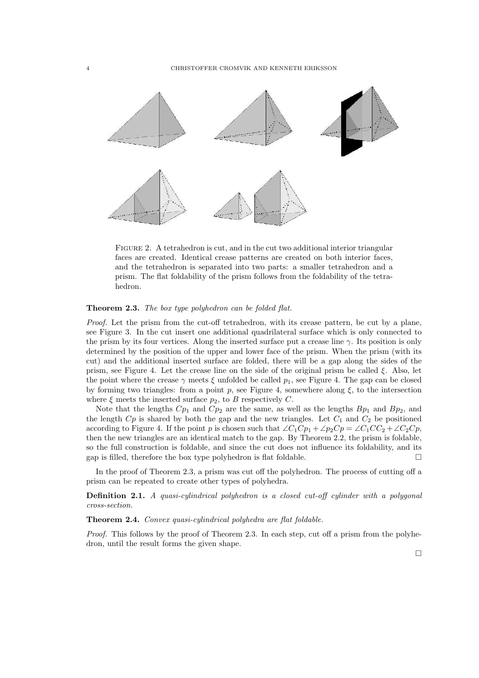

Figure 2. A tetrahedron is cut, and in the cut two additional interior triangular faces are created. Identical crease patterns are created on both interior faces, and the tetrahedron is separated into two parts: a smaller tetrahedron and a prism. The flat foldability of the prism follows from the foldability of the tetrahedron.

#### Theorem 2.3. The box type polyhedron can be folded flat.

Proof. Let the prism from the cut-off tetrahedron, with its crease pattern, be cut by a plane, see Figure 3. In the cut insert one additional quadrilateral surface which is only connected to the prism by its four vertices. Along the inserted surface put a crease line  $\gamma$ . Its position is only determined by the position of the upper and lower face of the prism. When the prism (with its cut) and the additional inserted surface are folded, there will be a gap along the sides of the prism, see Figure 4. Let the crease line on the side of the original prism be called  $\xi$ . Also, let the point where the crease  $\gamma$  meets  $\xi$  unfolded be called  $p_1$ , see Figure 4. The gap can be closed by forming two triangles: from a point p, see Figure 4, somewhere along  $\xi$ , to the intersection where  $\xi$  meets the inserted surface  $p_2$ , to B respectively C.

Note that the lengths  $Cp_1$  and  $Cp_2$  are the same, as well as the lengths  $Bp_1$  and  $Bp_2$ , and the length  $Cp$  is shared by both the gap and the new triangles. Let  $C_1$  and  $C_2$  be positioned according to Figure 4. If the point p is chosen such that  $\angle C_1Cp_1 + \angle p_2Cp = \angle C_1CC_2 + \angle C_2Cp$ , then the new triangles are an identical match to the gap. By Theorem 2.2, the prism is foldable, so the full construction is foldable, and since the cut does not influence its foldability, and its gap is filled, therefore the box type polyhedron is flat foldable.  $\Box$ 

In the proof of Theorem 2.3, a prism was cut off the polyhedron. The process of cutting off a prism can be repeated to create other types of polyhedra.

**Definition 2.1.** A quasi-cylindrical polyhedron is a closed cut-off cylinder with a polygonal cross-section.

Theorem 2.4. Convex quasi-cylindrical polyhedra are flat foldable.

Proof. This follows by the proof of Theorem 2.3. In each step, cut off a prism from the polyhedron, until the result forms the given shape.

 $\Box$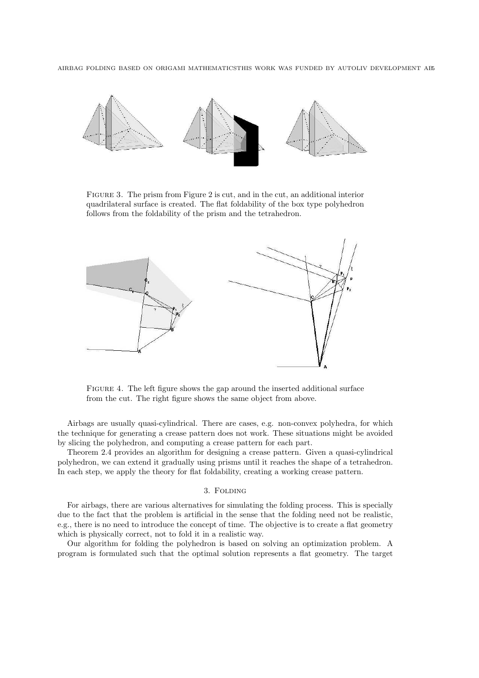

Figure 3. The prism from Figure 2 is cut, and in the cut, an additional interior quadrilateral surface is created. The flat foldability of the box type polyhedron follows from the foldability of the prism and the tetrahedron.



Figure 4. The left figure shows the gap around the inserted additional surface from the cut. The right figure shows the same object from above.

Airbags are usually quasi-cylindrical. There are cases, e.g. non-convex polyhedra, for which the technique for generating a crease pattern does not work. These situations might be avoided by slicing the polyhedron, and computing a crease pattern for each part.

Theorem 2.4 provides an algorithm for designing a crease pattern. Given a quasi-cylindrical polyhedron, we can extend it gradually using prisms until it reaches the shape of a tetrahedron. In each step, we apply the theory for flat foldability, creating a working crease pattern.

#### 3. Folding

For airbags, there are various alternatives for simulating the folding process. This is specially due to the fact that the problem is artificial in the sense that the folding need not be realistic, e.g., there is no need to introduce the concept of time. The objective is to create a flat geometry which is physically correct, not to fold it in a realistic way.

Our algorithm for folding the polyhedron is based on solving an optimization problem. A program is formulated such that the optimal solution represents a flat geometry. The target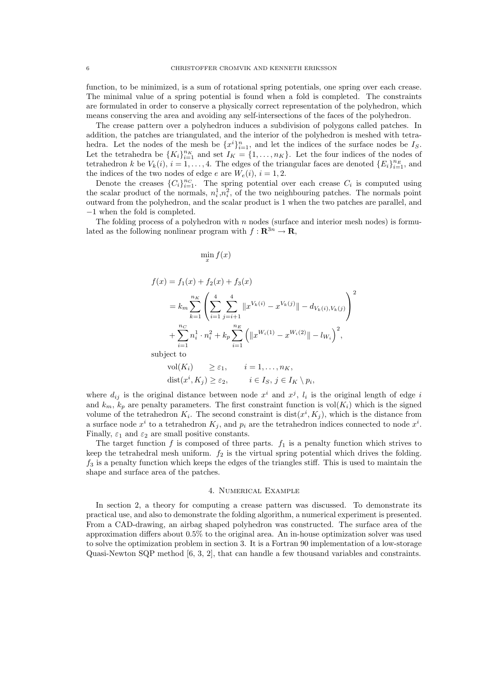function, to be minimized, is a sum of rotational spring potentials, one spring over each crease. The minimal value of a spring potential is found when a fold is completed. The constraints are formulated in order to conserve a physically correct representation of the polyhedron, which means conserving the area and avoiding any self-intersections of the faces of the polyhedron.

The crease pattern over a polyhedron induces a subdivision of polygons called patches. In addition, the patches are triangulated, and the interior of the polyhedron is meshed with tetrahedra. Let the nodes of the mesh be  $\{x^i\}_{i=1}^n$ , and let the indices of the surface nodes be  $I_S$ . Let the tetrahedra be  $\{K_i\}_{i=1}^{n_K}$  and set  $I_K = \{1, \ldots, n_K\}$ . Let the four indices of the nodes of tetrahedron k be  $V_k(i)$ ,  $i = 1, \ldots, 4$ . The edges of the triangular faces are denoted  $\{E_i\}_{i=1}^{n_E}$ , and the indices of the two nodes of edge e are  $W_e(i)$ ,  $i = 1, 2$ .

Denote the creases  $\{C_i\}_{i=1}^{n_C}$ . The spring potential over each crease  $C_i$  is computed using the scalar product of the normals,  $n_i^1, n_i^2$ , of the two neighbouring patches. The normals point outward from the polyhedron, and the scalar product is 1 when the two patches are parallel, and −1 when the fold is completed.

The folding process of a polyhedron with  $n$  nodes (surface and interior mesh nodes) is formulated as the following nonlinear program with  $f: \mathbb{R}^{3n} \to \mathbb{R}$ ,

> $\min_{x} f(x)$  $f(x) = f_1(x) + f_2(x) + f_3(x)$  $= k_m$  $\frac{n_K}{\sqrt{m}}$  $k=1$  $\overline{\phantom{a}}$  $\sqrt{\frac{4}{2}}$  $i=1$  $\frac{4}{\sqrt{2}}$  $j=i+1$  $||x^{V_k(i)} - x^{V_k(j)}|| - d_{V_k(i), V_k(j)}$  $\mathbf{r}$  $\mathbf{I}$  $+$  $\frac{n_C}{\sqrt{2}}$  $i=1$  $n_i^1 \cdot n_i^2 + k_p$  $\frac{n_E}{\sqrt{m}}$  $i=1$  $\overline{a}$  $||x^{W_i(1)} - x^{W_i(2)}|| - l_{W_i}$  $\sqrt{2}$ ,

2

subject to

$$
\text{vol}(K_i) \geq \varepsilon_1, \qquad i = 1, \dots, n_K,
$$
  

$$
\text{dist}(x^i, K_j) \geq \varepsilon_2, \qquad i \in I_S, j \in I_K \setminus p_i,
$$

where  $d_{ij}$  is the original distance between node  $x^i$  and  $x^j$ ,  $l_i$  is the original length of edge i and  $k_m$ ,  $k_p$  are penalty parameters. The first constraint function is vol $(K_i)$  which is the signed volume of the tetrahedron  $K_i$ . The second constraint is  $dist(x^i, K_j)$ , which is the distance from a surface node  $x^i$  to a tetrahedron  $K_j$ , and  $p_i$  are the tetrahedron indices connected to node  $x^i$ . Finally,  $\varepsilon_1$  and  $\varepsilon_2$  are small positive constants.

The target function  $f$  is composed of three parts.  $f_1$  is a penalty function which strives to keep the tetrahedral mesh uniform.  $f_2$  is the virtual spring potential which drives the folding.  $f_3$  is a penalty function which keeps the edges of the triangles stiff. This is used to maintain the shape and surface area of the patches.

#### 4. Numerical Example

In section 2, a theory for computing a crease pattern was discussed. To demonstrate its practical use, and also to demonstrate the folding algorithm, a numerical experiment is presented. From a CAD-drawing, an airbag shaped polyhedron was constructed. The surface area of the approximation differs about 0.5% to the original area. An in-house optimization solver was used to solve the optimization problem in section 3. It is a Fortran 90 implementation of a low-storage Quasi-Newton SQP method [6, 3, 2], that can handle a few thousand variables and constraints.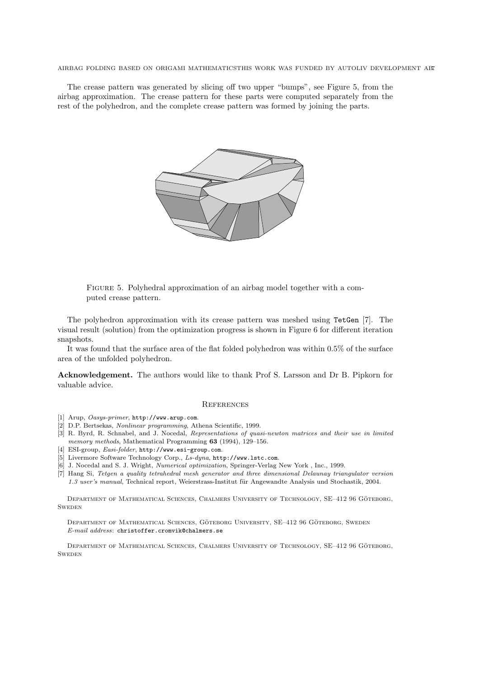The crease pattern was generated by slicing off two upper "bumps", see Figure 5, from the airbag approximation. The crease pattern for these parts were computed separately from the rest of the polyhedron, and the complete crease pattern was formed by joining the parts.



Figure 5. Polyhedral approximation of an airbag model together with a computed crease pattern.

The polyhedron approximation with its crease pattern was meshed using TetGen [7]. The visual result (solution) from the optimization progress is shown in Figure 6 for different iteration snapshots.

It was found that the surface area of the flat folded polyhedron was within 0.5% of the surface area of the unfolded polyhedron.

Acknowledgement. The authors would like to thank Prof S. Larsson and Dr B. Pipkorn for valuable advice.

#### **REFERENCES**

- [1] Arup, Oasys-primer, http://www.arup.com.
- [2] D.P. Bertsekas, Nonlinear programming, Athena Scientific, 1999.
- [3] R. Byrd, R. Schnabel, and J. Nocedal, Representations of quasi-newton matrices and their use in limited memory methods, Mathematical Programming 63 (1994), 129–156.
- [4] ESI-group, *Easi-folder*, http://www.esi-group.com.
- [5] Livermore Software Technology Corp., Ls-dyna, http://www.lstc.com.
- [6] J. Nocedal and S. J. Wright, Numerical optimization, Springer-Verlag New York , Inc., 1999.
- [7] Hang Si, Tetgen a quality tetrahedral mesh generator and three dimensional Delaunay triangulator version 1.3 user's manual, Technical report, Weierstrass-Institut für Angewandte Analysis und Stochastik, 2004.

DEPARTMENT OF MATHEMATICAL SCIENCES, CHALMERS UNIVERSITY OF TECHNOLOGY, SE-412 96 GÖTEBORG, **SWEDEN** 

DEPARTMENT OF MATHEMATICAL SCIENCES, GÖTEBORG UNIVERSITY, SE-412 96 GÖTEBORG, SWEDEN E-mail address: christoffer.cromvik@chalmers.se

DEPARTMENT OF MATHEMATICAL SCIENCES, CHALMERS UNIVERSITY OF TECHNOLOGY, SE-412 96 GÖTEBORG, **SWEDEN**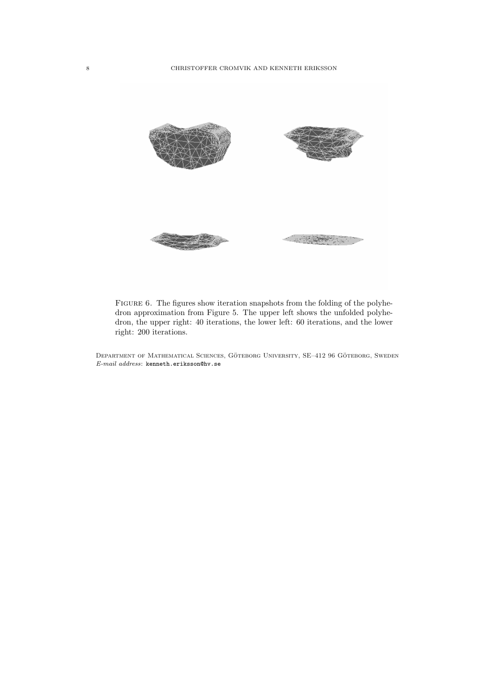

FIGURE 6. The figures show iteration snapshots from the folding of the polyhedron approximation from Figure 5. The upper left shows the unfolded polyhedron, the upper right: 40 iterations, the lower left: 60 iterations, and the lower right: 200 iterations.

DEPARTMENT OF MATHEMATICAL SCIENCES, GÖTEBORG UNIVERSITY, SE-412 96 GÖTEBORG, SWEDEN E-mail address: kenneth.eriksson@hv.se